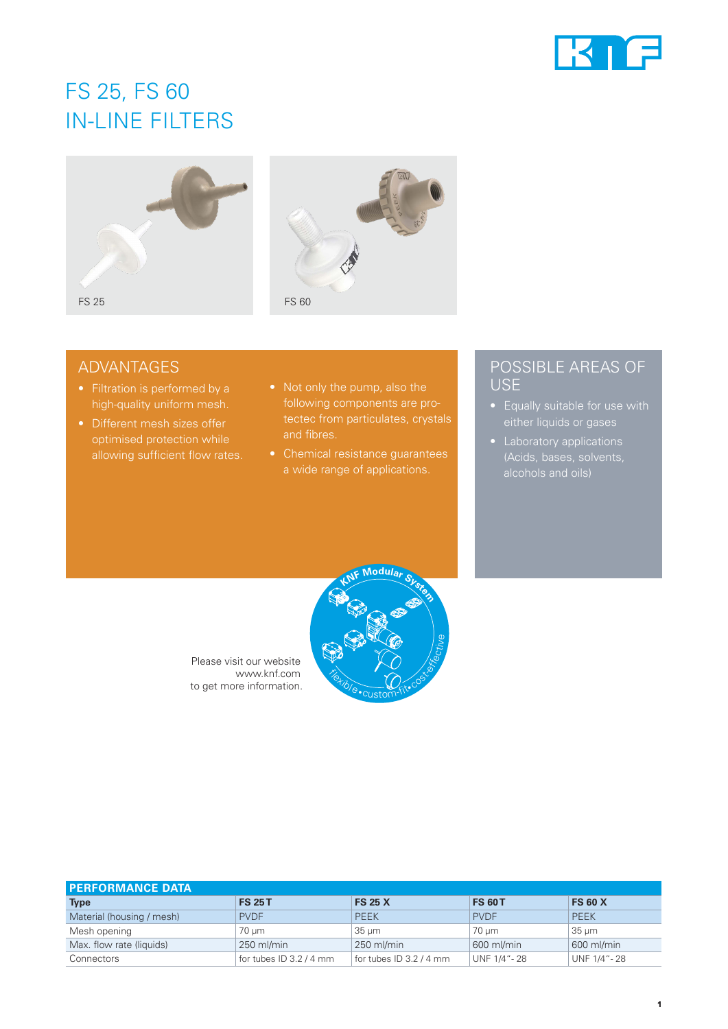

# FS 25, FS 60 IN-LINE FILTERS





## ADVANTAGES

- high-quality uniform mesh.
- allowing sufficient flow rates.
- following components are proand fibres.
- Chemical resistance guarantees a wide range of applications.

### POSSIBLE AREAS OF **USE**

- Equally suitable for use with either liquids or gases
- Laboratory applications





| <b>PERFORMANCE DATA</b>   |                           |                         |               |                |
|---------------------------|---------------------------|-------------------------|---------------|----------------|
| <b>Type</b>               | <b>FS 25 T</b>            | <b>FS 25 X</b>          | <b>FS 60T</b> | <b>FS 60 X</b> |
| Material (housing / mesh) | <b>PVDF</b>               | <b>PEEK</b>             | <b>PVDF</b>   | <b>PEEK</b>    |
| Mesh opening              | 70 um                     | $35 \mu m$              | 70 um         | $35 \mu m$     |
| Max. flow rate (liquids)  | $250$ ml/min              | 250 ml/min              | 600 ml/min    | 600 ml/min     |
| Connectors                | for tubes $ID$ 3.2 / 4 mm | for tubes ID 3.2 / 4 mm | UNF 1/4"-28   | UNF 1/4"-28    |